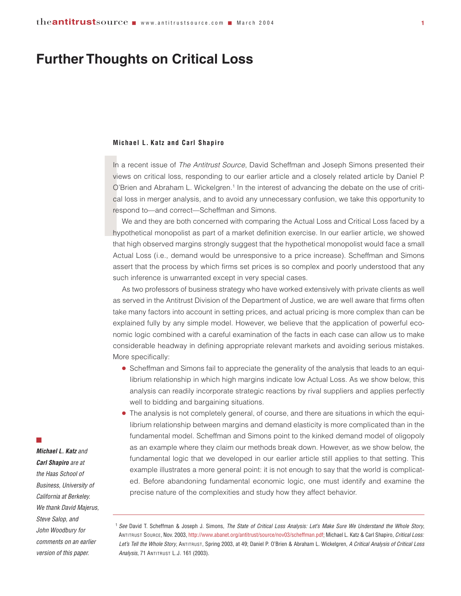# **Further Thoughts on Critical Loss**

#### **Michael L. Katz and Carl Shapiro**

Mi<br>
Invie<br>
O'<br>
Ca<br>
res<br>
hy<br>
that In a recent issue of *The Antitrust Source*, David Scheffman and Joseph Simons presented their views on critical loss, responding to our earlier article and a closely related article by Daniel P. O'Brien and Abraham L. Wickelgren.1 In the interest of advancing the debate on the use of critical loss in merger analysis, and to avoid any unnecessary confusion, we take this opportunity to respond to—and correct—Scheffman and Simons.

We and they are both concerned with comparing the Actual Loss and Critical Loss faced by a hypothetical monopolist as part of a market definition exercise. In our earlier article, we showed that high observed margins strongly suggest that the hypothetical monopolist would face a small Actual Loss (i.e., demand would be unresponsive to a price increase). Scheffman and Simons assert that the process by which firms set prices is so complex and poorly understood that any such inference is unwarranted except in very special cases.

As two professors of business strategy who have worked extensively with private clients as well as served in the Antitrust Division of the Department of Justice, we are well aware that firms often take many factors into account in setting prices, and actual pricing is more complex than can be explained fully by any simple model. However, we believe that the application of powerful economic logic combined with a careful examination of the facts in each case can allow us to make considerable headway in defining appropriate relevant markets and avoiding serious mistakes. More specifically:

- Scheffman and Simons fail to appreciate the generality of the analysis that leads to an equilibrium relationship in which high margins indicate low Actual Loss. As we show below, this analysis can readily incorporate strategic reactions by rival suppliers and applies perfectly well to bidding and bargaining situations.
- The analysis is not completely general, of course, and there are situations in which the equilibrium relationship between margins and demand elasticity is more complicated than in the fundamental model. Scheffman and Simons point to the kinked demand model of oligopoly as an example where they claim our methods break down. However, as we show below, the fundamental logic that we developed in our earlier article still applies to that setting. This example illustrates a more general point: it is not enough to say that the world is complicated. Before abandoning fundamental economic logic, one must identify and examine the precise nature of the complexities and study how they affect behavior.

### $\mathbb{R}^2$

*Michael L. Katz and Carl Shapiro are at the Haas School of Business, University of California at Berkeley. We thank David Majerus, Steve Salop, and John Woodbury for comments on an earlier version of this paper.*

<sup>1</sup> *See* David T. Scheffman & Joseph J. Simons, *The State of Critical Loss Analysis: Let's Make Sure We Understand the Whole Story*, ANTITRUST SOURCE, Nov. 2003, [http://www.abanet.org/antitrust/source/nov03/scheffman.pdf;](http://www.abanet.org/antitrust/source/nov03/scheffman.pdf) Michael L. Katz & Carl Shapiro, *Critical Loss: Let's Tell the Whole Story*, ANTITRUST, Spring 2003, at 49; Daniel P. O'Brien & Abraham L. Wickelgren, *A Critical Analysis of Critical Loss Analysis*, 71 ANTITRUST L.J. 161 (2003).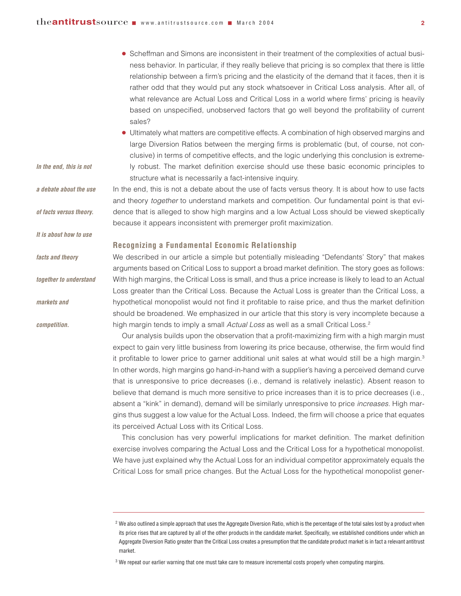*In the end, this is not* 

*It is about how to use*

*together to understand*

*facts and theory* 

*markets and* 

*competition.*

● Scheffman and Simons are inconsistent in their treatment of the complexities of actual business behavior. In particular, if they really believe that pricing is so complex that there is little relationship between a firm's pricing and the elasticity of the demand that it faces, then it is rather odd that they would put any stock whatsoever in Critical Loss analysis. After all, of what relevance are Actual Loss and Critical Loss in a world where firms' pricing is heavily based on unspecified, unobserved factors that go well beyond the profitability of current sales?

● Ultimately what matters are competitive effects. A combination of high observed margins and large Diversion Ratios between the merging firms is problematic (but, of course, not conclusive) in terms of competitive effects, and the logic underlying this conclusion is extremely robust. The market definition exercise should use these basic economic principles to structure what is necessarily a fact-intensive inquiry.

In the end, this is not a debate about the use of facts versus theory. It is about how to use facts and theory *together* to understand markets and competition. Our fundamental point is that evidence that is alleged to show high margins and a low Actual Loss should be viewed skeptically because it appears inconsistent with premerger profit maximization. *a debate about the use of facts versus theory.* 

### **Recognizing a Fundamental Economic Relationship**

We described in our article a simple but potentially misleading "Defendants' Story" that makes arguments based on Critical Loss to support a broad market definition. The story goes as follows: With high margins, the Critical Loss is small, and thus a price increase is likely to lead to an Actual Loss greater than the Critical Loss. Because the Actual Loss is greater than the Critical Loss, a hypothetical monopolist would not find it profitable to raise price, and thus the market definition should be broadened. We emphasized in our article that this story is very incomplete because a high margin tends to imply a small *Actual Loss* as well as a small Critical Loss.2

Our analysis builds upon the observation that a profit-maximizing firm with a high margin must expect to gain very little business from lowering its price because, otherwise, the firm would find it profitable to lower price to garner additional unit sales at what would still be a high margin.<sup>3</sup> In other words, high margins go hand-in-hand with a supplier's having a perceived demand curve that is unresponsive to price decreases (i.e., demand is relatively inelastic). Absent reason to believe that demand is much more sensitive to price increases than it is to price decreases (i.e., absent a "kink" in demand), demand will be similarly unresponsive to price *increases*. High margins thus suggest a low value for the Actual Loss. Indeed, the firm will choose a price that equates its perceived Actual Loss with its Critical Loss.

This conclusion has very powerful implications for market definition. The market definition exercise involves comparing the Actual Loss and the Critical Loss for a hypothetical monopolist. We have just explained why the Actual Loss for an individual competitor approximately equals the Critical Loss for small price changes. But the Actual Loss for the hypothetical monopolist gener-

<sup>&</sup>lt;sup>2</sup> We also outlined a simple approach that uses the Aggregate Diversion Ratio, which is the percentage of the total sales lost by a product when its price rises that are captured by all of the other products in the candidate market. Specifically, we established conditions under which an Aggregate Diversion Ratio greater than the Critical Loss creates a presumption that the candidate product market is in fact a relevant antitrust market.

<sup>&</sup>lt;sup>3</sup> We repeat our earlier warning that one must take care to measure incremental costs properly when computing margins.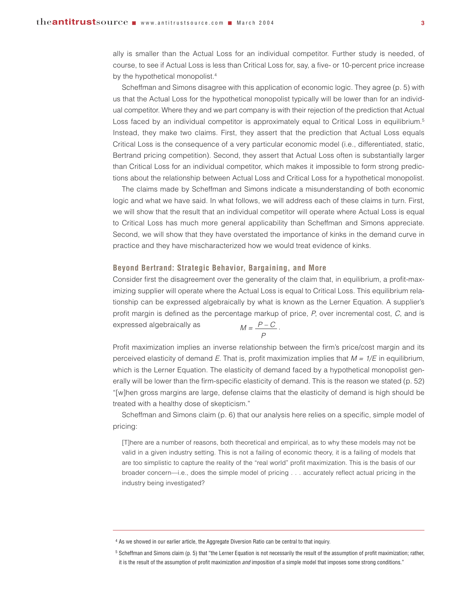ally is smaller than the Actual Loss for an individual competitor. Further study is needed, of course, to see if Actual Loss is less than Critical Loss for, say, a five- or 10-percent price increase by the hypothetical monopolist.<sup>4</sup>

Scheffman and Simons disagree with this application of economic logic. They agree (p. 5) with us that the Actual Loss for the hypothetical monopolist typically will be lower than for an individual competitor. Where they and we part company is with their rejection of the prediction that Actual Loss faced by an individual competitor is approximately equal to Critical Loss in equilibrium.<sup>5</sup> Instead, they make two claims. First, they assert that the prediction that Actual Loss equals Critical Loss is the consequence of a very particular economic model (i.e., differentiated, static, Bertrand pricing competition). Second, they assert that Actual Loss often is substantially larger than Critical Loss for an individual competitor, which makes it impossible to form strong predictions about the relationship between Actual Loss and Critical Loss for a hypothetical monopolist.

The claims made by Scheffman and Simons indicate a misunderstanding of both economic logic and what we have said. In what follows, we will address each of these claims in turn. First, we will show that the result that an individual competitor will operate where Actual Loss is equal to Critical Loss has much more general applicability than Scheffman and Simons appreciate. Second, we will show that they have overstated the importance of kinks in the demand curve in practice and they have mischaracterized how we would treat evidence of kinks.

### **Beyond Bertrand: Strategic Behavior, Bargaining, and More**

Consider first the disagreement over the generality of the claim that, in equilibrium, a profit-maximizing supplier will operate where the Actual Loss is equal to Critical Loss. This equilibrium relationship can be expressed algebraically by what is known as the Lerner Equation. A supplier's profit margin is defined as the percentage markup of price, *P*, over incremental cost, *C*, and is expressed algebraically as  $p \sim \rho$ 

$$
M=\frac{P-C}{P}.
$$

Profit maximization implies an inverse relationship between the firm's price/cost margin and its perceived elasticity of demand *E*. That is, profit maximization implies that *M = 1/E* in equilibrium, which is the Lerner Equation. The elasticity of demand faced by a hypothetical monopolist generally will be lower than the firm-specific elasticity of demand. This is the reason we stated (p. 52) "[w]hen gross margins are large, defense claims that the elasticity of demand is high should be treated with a healthy dose of skepticism."

Scheffman and Simons claim (p. 6) that our analysis here relies on a specific, simple model of pricing:

[T]here are a number of reasons, both theoretical and empirical, as to why these models may not be valid in a given industry setting. This is not a failing of economic theory, it is a failing of models that are too simplistic to capture the reality of the "real world" profit maximization. This is the basis of our broader concern—i.e., does the simple model of pricing . . . accurately reflect actual pricing in the industry being investigated?

<sup>4</sup> As we showed in our earlier article, the Aggregate Diversion Ratio can be central to that inquiry.

<sup>5</sup> Scheffman and Simons claim (p. 5) that "the Lerner Equation is not necessarily the result of the assumption of profit maximization; rather, it is the result of the assumption of profit maximization *and* imposition of a simple model that imposes some strong conditions."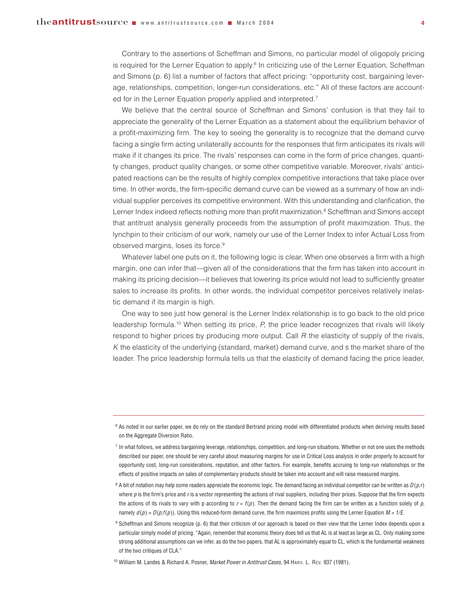Contrary to the assertions of Scheffman and Simons, no particular model of oligopoly pricing is required for the Lerner Equation to apply.<sup>6</sup> In criticizing use of the Lerner Equation, Scheffman and Simons (p. 6) list a number of factors that affect pricing: "opportunity cost, bargaining leverage, relationships, competition, longer-run considerations, etc." All of these factors are accounted for in the Lerner Equation properly applied and interpreted.<sup>7</sup>

We believe that the central source of Scheffman and Simons' confusion is that they fail to appreciate the generality of the Lerner Equation as a statement about the equilibrium behavior of a profit-maximizing firm. The key to seeing the generality is to recognize that the demand curve facing a single firm acting unilaterally accounts for the responses that firm anticipates its rivals will make if it changes its price. The rivals' responses can come in the form of price changes, quantity changes, product quality changes, or some other competitive variable. Moreover, rivals' anticipated reactions can be the results of highly complex competitive interactions that take place over time. In other words, the firm-specific demand curve can be viewed as a summary of how an individual supplier perceives its competitive environment. With this understanding and clarification, the Lerner Index indeed reflects nothing more than profit maximization.<sup>8</sup> Scheffman and Simons accept that antitrust analysis generally proceeds from the assumption of profit maximization. Thus, the lynchpin to their criticism of our work, namely our use of the Lerner Index to infer Actual Loss from observed margins, loses its force.<sup>9</sup>

Whatever label one puts on it, the following logic is clear. When one observes a firm with a high margin, one can infer that—given all of the considerations that the firm has taken into account in making its pricing decision—it believes that lowering its price would not lead to sufficiently greater sales to increase its profits. In other words, the individual competitor perceives relatively inelastic demand if its margin is high.

One way to see just how general is the Lerner Index relationship is to go back to the old price leadership formula.<sup>10</sup> When setting its price, *P*, the price leader recognizes that rivals will likely respond to higher prices by producing more output. Call *R* the elasticity of supply of the rivals, *K* the elasticity of the underlying (standard, market) demand curve, and s the market share of the leader. The price leadership formula tells us that the elasticity of demand facing the price leader,

<sup>6</sup> As noted in our earlier paper, we do rely on the standard Bertrand pricing model with differentiated products when deriving results based on the Aggregate Diversion Ratio.

 $7$  In what follows, we address bargaining leverage, relationships, competition, and long-run situations. Whether or not one uses the methods described our paper, one should be very careful about measuring margins for use in Critical Loss analysis in order properly to account for opportunity cost, long-run considerations, reputation, and other factors. For example, benefits accruing to long-run relationships or the effects of positive impacts on sales of complementary products should be taken into account and will raise measured margins.

<sup>&</sup>lt;sup>8</sup> A bit of notation may help some readers appreciate the economic logic. The demand facing an individual competitor can be written as  $D(p,r)$ where  $p$  is the firm's price and  $r$  is a vector representing the actions of rival suppliers, including their prices. Suppose that the firm expects the actions of its rivals to vary with p according to  $r = f(p)$ . Then the demand facing the firm can be written as a function solely of  $p$ , namely  $d(p) = D(p, f(p))$ . Using this reduced-form demand curve, the firm maximizes profits using the Lerner Equation  $M = 1/E$ .

<sup>9</sup> Scheffman and Simons recognize (p. 6) that their criticism of our approach is based on their view that the Lerner Index depends upon a particular simply model of pricing. "Again, remember that economic theory does tell us that AL is at least as large as CL. Only making some strong additional assumptions can we infer, as do the two papers, that AL is approximately equal to CL, which is the fundamental weakness of the two critiques of CLA."

<sup>10</sup> William M. Landes & Richard A. Posner, *Market Power in Antitrust Cases*, 94 HARV. L. REV. 937 (1981).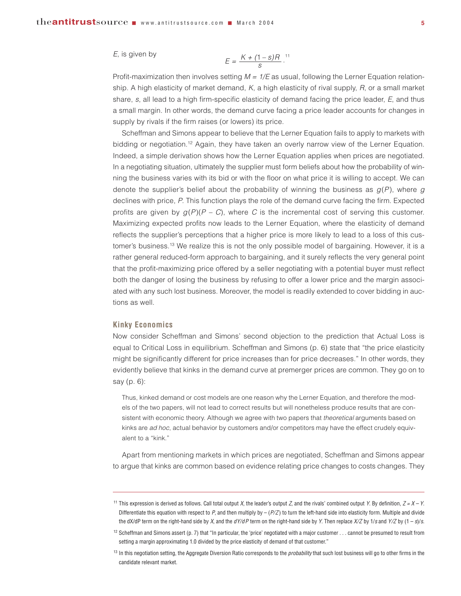#### *E*, is given by

$$
E=\frac{K+(1-s)R}{s}.
$$
<sup>11</sup>

Profit-maximization then involves setting *M = 1/E* as usual, following the Lerner Equation relationship. A high elasticity of market demand, *K*, a high elasticity of rival supply, *R*, or a small market share, *s*, all lead to a high firm-specific elasticity of demand facing the price leader, *E*, and thus a small margin. In other words, the demand curve facing a price leader accounts for changes in supply by rivals if the firm raises (or lowers) its price.

Scheffman and Simons appear to believe that the Lerner Equation fails to apply to markets with bidding or negotiation.<sup>12</sup> Again, they have taken an overly narrow view of the Lerner Equation. Indeed, a simple derivation shows how the Lerner Equation applies when prices are negotiated. In a negotiating situation, ultimately the supplier must form beliefs about how the probability of winning the business varies with its bid or with the floor on what price it is willing to accept. We can denote the supplier's belief about the probability of winning the business as  $q(P)$ , where  $q$ declines with price, *P*. This function plays the role of the demand curve facing the firm. Expected profits are given by  $q(P)(P - C)$ , where C is the incremental cost of serving this customer. Maximizing expected profits now leads to the Lerner Equation, where the elasticity of demand reflects the supplier's perceptions that a higher price is more likely to lead to a loss of this customer's business.13 We realize this is not the only possible model of bargaining. However, it is a rather general reduced-form approach to bargaining, and it surely reflects the very general point that the profit-maximizing price offered by a seller negotiating with a potential buyer must reflect both the danger of losing the business by refusing to offer a lower price and the margin associated with any such lost business. Moreover, the model is readily extended to cover bidding in auctions as well.

### **Kinky Economics**

Now consider Scheffman and Simons' second objection to the prediction that Actual Loss is equal to Critical Loss in equilibrium. Scheffman and Simons (p. 6) state that "the price elasticity might be significantly different for price increases than for price decreases." In other words, they evidently believe that kinks in the demand curve at premerger prices are common. They go on to say (p. 6):

Thus, kinked demand or cost models are one reason why the Lerner Equation, and therefore the models of the two papers, will not lead to correct results but will nonetheless produce results that are consistent with economic theory. Although we agree with two papers that *theoretical* arguments based on kinks are *ad hoc*, actual behavior by customers and/or competitors may have the effect crudely equivalent to a "kink."

Apart from mentioning markets in which prices are negotiated, Scheffman and Simons appear to argue that kinks are common based on evidence relating price changes to costs changes. They

<sup>11</sup> This expression is derived as follows. Call total output *X*, the leader's output *Z*, and the rivals' combined output *Y*. By definition, *Z = X – Y*. Differentiate this equation with respect to *P*, and then multiply by – (*P/Z* ) to turn the left-hand side into elasticity form. Multiple and divide the dX/dP term on the right-hand side by *X*, and the *dY/dP* term on the right-hand side by *Y*. Then replace *X/Z* by 1/*s* and *Y/Z* by (1 – *s*)/*s*.

 $12$  Scheffman and Simons assert (p. 7) that "In particular, the 'price' negotiated with a major customer . . . cannot be presumed to result from setting a margin approximating 1.0 divided by the price elasticity of demand of that customer."

<sup>13</sup> In this negotiation setting, the Aggregate Diversion Ratio corresponds to the *probability* that such lost business will go to other firms in the candidate relevant market.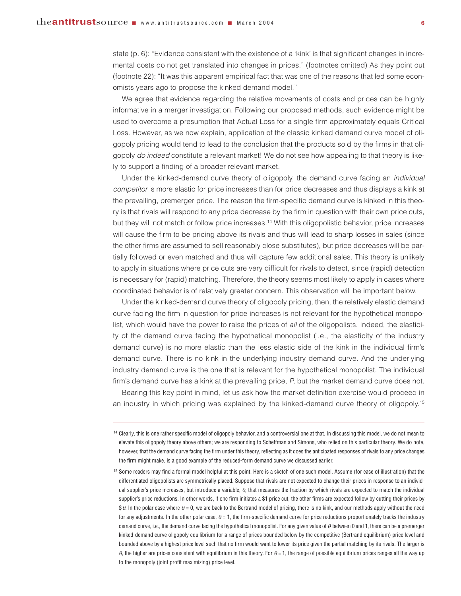state (p. 6): "Evidence consistent with the existence of a 'kink' is that significant changes in incremental costs do not get translated into changes in prices." (footnotes omitted) As they point out (footnote 22): "It was this apparent empirical fact that was one of the reasons that led some economists years ago to propose the kinked demand model."

We agree that evidence regarding the relative movements of costs and prices can be highly informative in a merger investigation. Following our proposed methods, such evidence might be used to overcome a presumption that Actual Loss for a single firm approximately equals Critical Loss. However, as we now explain, application of the classic kinked demand curve model of oligopoly pricing would tend to lead to the conclusion that the products sold by the firms in that oligopoly *do indeed* constitute a relevant market! We do not see how appealing to that theory is likely to support a finding of a broader relevant market.

Under the kinked-demand curve theory of oligopoly, the demand curve facing an *individual competitor* is more elastic for price increases than for price decreases and thus displays a kink at the prevailing, premerger price. The reason the firm-specific demand curve is kinked in this theory is that rivals will respond to any price decrease by the firm in question with their own price cuts, but they will not match or follow price increases.14 With this oligopolistic behavior, price increases will cause the firm to be pricing above its rivals and thus will lead to sharp losses in sales (since the other firms are assumed to sell reasonably close substitutes), but price decreases will be partially followed or even matched and thus will capture few additional sales. This theory is unlikely to apply in situations where price cuts are very difficult for rivals to detect, since (rapid) detection is necessary for (rapid) matching. Therefore, the theory seems most likely to apply in cases where coordinated behavior is of relatively greater concern. This observation will be important below.

Under the kinked-demand curve theory of oligopoly pricing, then, the relatively elastic demand curve facing the firm in question for price increases is not relevant for the hypothetical monopolist, which would have the power to raise the prices of *all* of the oligopolists. Indeed, the elasticity of the demand curve facing the hypothetical monopolist (i.e., the elasticity of the industry demand curve) is no more elastic than the less elastic side of the kink in the individual firm's demand curve. There is no kink in the underlying industry demand curve. And the underlying industry demand curve is the one that is relevant for the hypothetical monopolist. The individual firm's demand curve has a kink at the prevailing price, *P*, but the market demand curve does not.

Bearing this key point in mind, let us ask how the market definition exercise would proceed in an industry in which pricing was explained by the kinked-demand curve theory of oligopoly.<sup>15</sup>

<sup>&</sup>lt;sup>14</sup> Clearly, this is one rather specific model of oligopoly behavior, and a controversial one at that. In discussing this model, we do not mean to elevate this oligopoly theory above others; we are responding to Scheffman and Simons, who relied on this particular theory. We do note, however, that the demand curve facing the firm under this theory, reflecting as it does the anticipated responses of rivals to any price changes the firm might make, is a good example of the reduced-form demand curve we discussed earlier.

<sup>&</sup>lt;sup>15</sup> Some readers may find a formal model helpful at this point. Here is a sketch of one such model. Assume (for ease of illustration) that the differentiated oligopolists are symmetrically placed. Suppose that rivals are not expected to change their prices in response to an individual supplier's price increases, but introduce a variable,  $\theta$ , that measures the fraction by which rivals are expected to match the individual supplier's price reductions. In other words, if one firm initiates a \$1 price cut, the other firms are expected follow by cutting their prices by \$ θ. In the polar case where  $\theta$  = 0, we are back to the Bertrand model of pricing, there is no kink, and our methods apply without the need for any adjustments. In the other polar case,  $\theta = 1$ , the firm-specific demand curve for price reductions proportionately tracks the industry demand curve, i.e., the demand curve facing the hypothetical monopolist. For any given value of θ between 0 and 1, there can be a premerger kinked-demand curve oligopoly equilibrium for a range of prices bounded below by the competitive (Bertrand equilibrium) price level and bounded above by a highest price level such that no firm would want to lower its price given the partial matching by its rivals. The larger is  $θ$ , the higher are prices consistent with equilibrium in this theory. For  $θ = 1$ , the range of possible equilibrium prices ranges all the way up to the monopoly (joint profit maximizing) price level.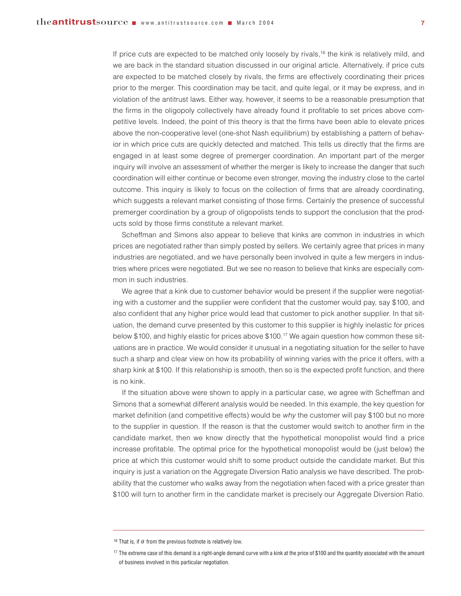If price cuts are expected to be matched only loosely by rivals,<sup>16</sup> the kink is relatively mild, and we are back in the standard situation discussed in our original article. Alternatively, if price cuts are expected to be matched closely by rivals, the firms are effectively coordinating their prices prior to the merger. This coordination may be tacit, and quite legal, or it may be express, and in violation of the antitrust laws. Either way, however, it seems to be a reasonable presumption that the firms in the oligopoly collectively have already found it profitable to set prices above competitive levels. Indeed, the point of this theory is that the firms have been able to elevate prices above the non-cooperative level (one-shot Nash equilibrium) by establishing a pattern of behavior in which price cuts are quickly detected and matched. This tells us directly that the firms are engaged in at least some degree of premerger coordination. An important part of the merger inquiry will involve an assessment of whether the merger is likely to increase the danger that such coordination will either continue or become even stronger, moving the industry close to the cartel outcome. This inquiry is likely to focus on the collection of firms that are already coordinating, which suggests a relevant market consisting of those firms. Certainly the presence of successful premerger coordination by a group of oligopolists tends to support the conclusion that the products sold by those firms constitute a relevant market.

Scheffman and Simons also appear to believe that kinks are common in industries in which prices are negotiated rather than simply posted by sellers. We certainly agree that prices in many industries are negotiated, and we have personally been involved in quite a few mergers in industries where prices were negotiated. But we see no reason to believe that kinks are especially common in such industries.

We agree that a kink due to customer behavior would be present if the supplier were negotiating with a customer and the supplier were confident that the customer would pay, say \$100, and also confident that any higher price would lead that customer to pick another supplier. In that situation, the demand curve presented by this customer to this supplier is highly inelastic for prices below \$100, and highly elastic for prices above \$100.17 We again question how common these situations are in practice. We would consider it unusual in a negotiating situation for the seller to have such a sharp and clear view on how its probability of winning varies with the price it offers, with a sharp kink at \$100. If this relationship is smooth, then so is the expected profit function, and there is no kink.

If the situation above were shown to apply in a particular case, we agree with Scheffman and Simons that a somewhat different analysis would be needed. In this example, the key question for market definition (and competitive effects) would be *why* the customer will pay \$100 but no more to the supplier in question. If the reason is that the customer would switch to another firm in the candidate market, then we know directly that the hypothetical monopolist would find a price increase profitable. The optimal price for the hypothetical monopolist would be (just below) the price at which this customer would shift to some product outside the candidate market. But this inquiry is just a variation on the Aggregate Diversion Ratio analysis we have described. The probability that the customer who walks away from the negotiation when faced with a price greater than \$100 will turn to another firm in the candidate market is precisely our Aggregate Diversion Ratio.

<sup>&</sup>lt;sup>16</sup> That is, if  $\theta$  from the previous footnote is relatively low.

<sup>&</sup>lt;sup>17</sup> The extreme case of this demand is a right-angle demand curve with a kink at the price of \$100 and the quantity associated with the amount of business involved in this particular negotiation.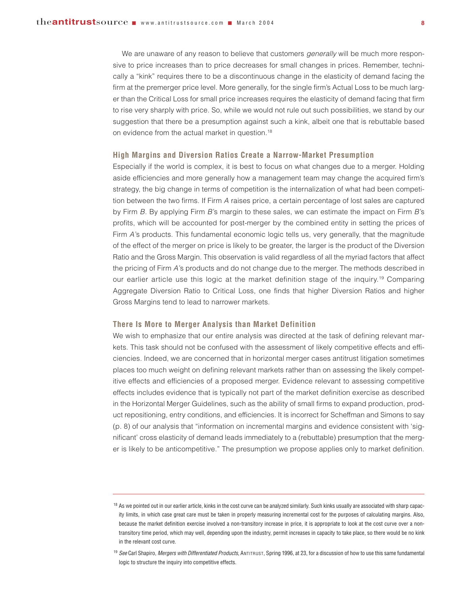We are unaware of any reason to believe that customers *generally* will be much more responsive to price increases than to price decreases for small changes in prices. Remember, technically a "kink" requires there to be a discontinuous change in the elasticity of demand facing the firm at the premerger price level. More generally, for the single firm's Actual Loss to be much larger than the Critical Loss for small price increases requires the elasticity of demand facing that firm to rise very sharply with price. So, while we would not rule out such possibilities, we stand by our suggestion that there be a presumption against such a kink, albeit one that is rebuttable based on evidence from the actual market in question.<sup>18</sup>

## **High Margins and Diversion Ratios Create a Narrow-Market Presumption**

Especially if the world is complex, it is best to focus on what changes due to a merger. Holding aside efficiencies and more generally how a management team may change the acquired firm's strategy, the big change in terms of competition is the internalization of what had been competition between the two firms. If Firm *A* raises price, a certain percentage of lost sales are captured by Firm *B*. By applying Firm *B*'s margin to these sales, we can estimate the impact on Firm *B*'s profits, which will be accounted for post-merger by the combined entity in setting the prices of Firm *A*'s products. This fundamental economic logic tells us, very generally, that the magnitude of the effect of the merger on price is likely to be greater, the larger is the product of the Diversion Ratio and the Gross Margin. This observation is valid regardless of all the myriad factors that affect the pricing of Firm *A*'s products and do not change due to the merger. The methods described in our earlier article use this logic at the market definition stage of the inquiry.19 Comparing Aggregate Diversion Ratio to Critical Loss, one finds that higher Diversion Ratios and higher Gross Margins tend to lead to narrower markets.

### **There Is More to Merger Analysis than Market Definition**

We wish to emphasize that our entire analysis was directed at the task of defining relevant markets. This task should not be confused with the assessment of likely competitive effects and efficiencies. Indeed, we are concerned that in horizontal merger cases antitrust litigation sometimes places too much weight on defining relevant markets rather than on assessing the likely competitive effects and efficiencies of a proposed merger. Evidence relevant to assessing competitive effects includes evidence that is typically not part of the market definition exercise as described in the Horizontal Merger Guidelines, such as the ability of small firms to expand production, product repositioning, entry conditions, and efficiencies. It is incorrect for Scheffman and Simons to say (p. 8) of our analysis that "information on incremental margins and evidence consistent with 'significant' cross elasticity of demand leads immediately to a (rebuttable) presumption that the merger is likely to be anticompetitive." The presumption we propose applies only to market definition.

<sup>&</sup>lt;sup>18</sup> As we pointed out in our earlier article, kinks in the cost curve can be analyzed similarly. Such kinks usually are associated with sharp capacity limits, in which case great care must be taken in properly measuring incremental cost for the purposes of calculating margins. Also, because the market definition exercise involved a non-transitory increase in price, it is appropriate to look at the cost curve over a nontransitory time period, which may well, depending upon the industry, permit increases in capacity to take place, so there would be no kink in the relevant cost curve.

<sup>19</sup> *See* Carl Shapiro, *Mergers with Differentiated Products*, ANTITRUST, Spring 1996, at 23, for a discussion of how to use this same fundamental logic to structure the inquiry into competitive effects.